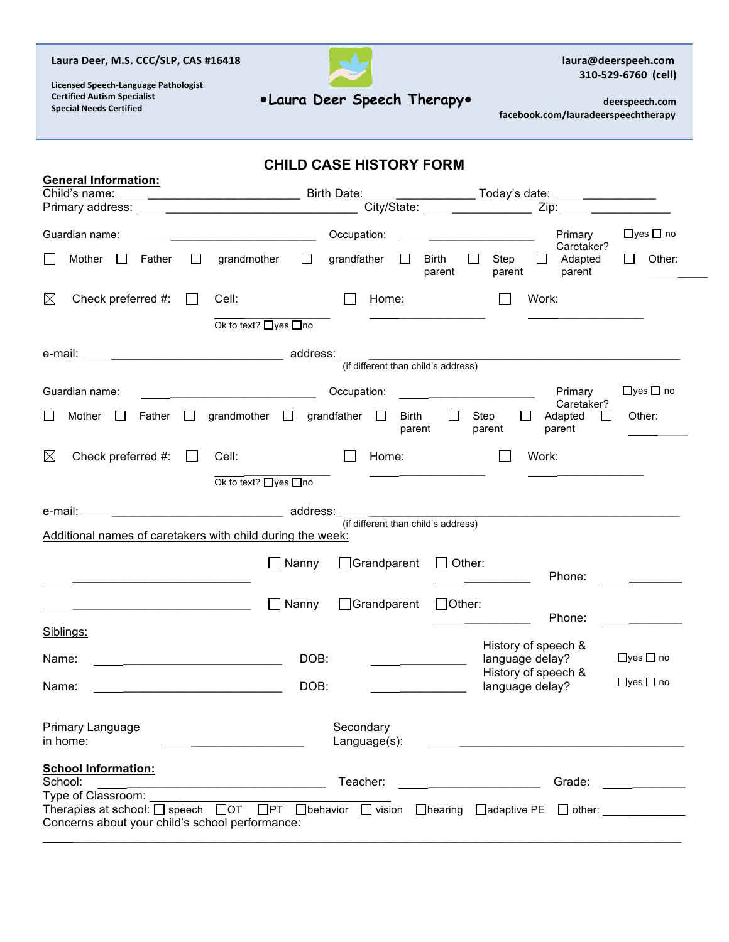## Laura Deer, M.S. CCC/SLP, CAS #16418



laura@deerspeeh.com 310-529-6760 (cell)

**Licensed Speech-Language Pathologist Certified Autism Specialist Special Needs Certified**

# **Laura Deer Speech Therapy**

deerspeech.com  **facebook.com/lauradeerspeechtherapy**

|                                                 | <b>CHILD CASE HISTORY FORM</b>                                                                                                                                                                                                 |
|-------------------------------------------------|--------------------------------------------------------------------------------------------------------------------------------------------------------------------------------------------------------------------------------|
| <b>General Information:</b>                     |                                                                                                                                                                                                                                |
| Guardian name:                                  | $\Box$ yes $\Box$ no<br>Occupation:<br>Primary                                                                                                                                                                                 |
| Father<br>Mother<br>$\mathcal{L}_{\mathcal{A}}$ | Caretaker?<br>grandfather $\square$<br>grandmother $\square$<br>$\Box$<br>$\Box$<br>Other:<br>$\perp$<br>Birth<br>Step<br>$\perp$<br>Adapted<br>parent<br>parent<br>parent                                                     |
| $\boxtimes$<br>Check preferred #:               | Work:<br>Cell:<br>Home:<br>$\Box$                                                                                                                                                                                              |
|                                                 | Ok to text? □yes □no                                                                                                                                                                                                           |
|                                                 | (if different than child's address)                                                                                                                                                                                            |
|                                                 |                                                                                                                                                                                                                                |
| Guardian name:                                  | $\Box$ yes $\Box$ no<br>Occupation:<br>Primary<br>Caretaker?                                                                                                                                                                   |
| Father<br>Mother $\Box$                         | grandmother $\Box$ grandfather $\Box$<br>$\Box$<br>Other:<br>Birth<br>$\Box$<br>Step<br>П<br>Adapted<br>$\perp$<br>parent<br>parent<br>parent                                                                                  |
| $\boxtimes$<br>Check preferred #:               | Work:<br>Cell:<br>Home:<br>$\pm$                                                                                                                                                                                               |
|                                                 | Ok to text? □yes □no                                                                                                                                                                                                           |
|                                                 |                                                                                                                                                                                                                                |
|                                                 | e-mail: e-mail: e-mail: e-mail: e-mail: e-mail: e-mail: e-mail: e-mail: e-mail: e-mail: e-mail: e-mail: e-mail: e-mail: e-mail: e-mail: e-mail: e-mail: e-mail: e-mail: e-mail: e-mail: e-mail: e-mail: e-mail: e-mail: e-mail |
|                                                 | Additional names of caretakers with child during the week:                                                                                                                                                                     |
|                                                 | $\Box$ Grandparent<br>$\Box$ Other:<br>$\Box$ Nanny<br>Phone:                                                                                                                                                                  |
|                                                 |                                                                                                                                                                                                                                |
|                                                 | □Grandparent<br>$\Box$ Other:<br>$\Box$ Nanny<br>Phone:                                                                                                                                                                        |
| Siblings:                                       |                                                                                                                                                                                                                                |
| Name:                                           | History of speech &<br>$\Box$ yes $\Box$ no<br>language delay?<br>DOB:                                                                                                                                                         |
| Name:                                           | History of speech &<br>$\Box$ yes $\Box$ no<br>DOB:<br>language delay?                                                                                                                                                         |
| Primary Language<br>in home:                    | Secondary<br>Language(s):                                                                                                                                                                                                      |
| <b>School Information:</b><br>School:           | Teacher:<br>Grade:                                                                                                                                                                                                             |
| Type of Classroom:                              | Therapies at school: $\Box$ speech $\Box$ OT $\Box$ PT $\Box$ behavior $\Box$ vision $\Box$ hearing<br>$\Box$ adaptive PE $\Box$ other:                                                                                        |
|                                                 | Concerns about your child's school performance:                                                                                                                                                                                |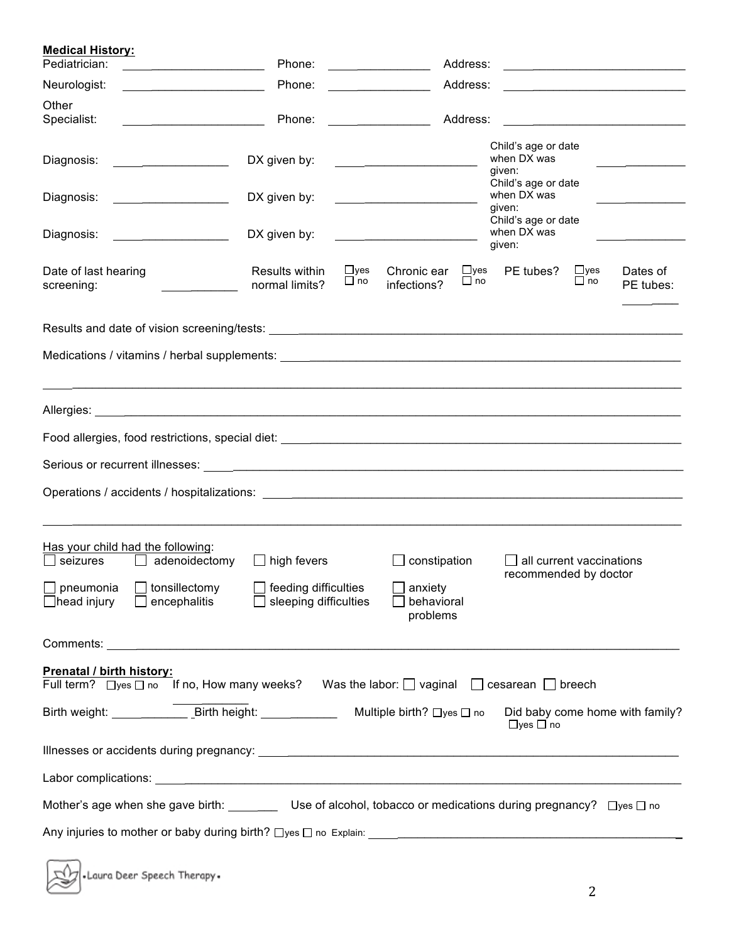| <b>Medical History:</b><br>Pediatrician:                                                                                                                                                                                            | Phone:                                                                     |                         |                                                                 | Address:                |                                                          |                           | <u> 1989 - Johann Stoff, die staatsbisse van die Stoffense van die Stoffense van die Stoffense van die Stoffense v</u> |
|-------------------------------------------------------------------------------------------------------------------------------------------------------------------------------------------------------------------------------------|----------------------------------------------------------------------------|-------------------------|-----------------------------------------------------------------|-------------------------|----------------------------------------------------------|---------------------------|------------------------------------------------------------------------------------------------------------------------|
| Neurologist:<br><u> 1990 - Jan Barbara Barat, politik e</u> ta bizkaitar                                                                                                                                                            | Phone:                                                                     |                         |                                                                 | Address:                |                                                          |                           |                                                                                                                        |
| Other<br>Specialist:                                                                                                                                                                                                                | Phone:                                                                     |                         |                                                                 | Address:                |                                                          |                           |                                                                                                                        |
| Diagnosis:<br><u> 1999 - Johann Harry Harry Harry Harry Harry Harry Harry Harry Harry Harry Harry Harry Harry Harry Harry Harry</u>                                                                                                 | DX given by:                                                               |                         |                                                                 |                         | Child's age or date<br>when DX was<br>given:             |                           |                                                                                                                        |
| Diagnosis:<br><u> 1999 - John Stone, mars et al.</u>                                                                                                                                                                                | DX given by:                                                               |                         | the contract of the contract of the contract of the contract of |                         | Child's age or date<br>when DX was<br>given:             |                           |                                                                                                                        |
| Diagnosis:                                                                                                                                                                                                                          | DX given by:                                                               |                         |                                                                 |                         | Child's age or date<br>when DX was<br>given:             |                           |                                                                                                                        |
| Date of last hearing<br>screening:                                                                                                                                                                                                  | Results within<br>normal limits?                                           | $\Box$ yes<br>$\Box$ no | Chronic ear<br>infections?                                      | $\Box$ yes<br>$\Box$ no | PE tubes?                                                | $\sqcup$ yes<br>$\Box$ no | Dates of<br>PE tubes:                                                                                                  |
|                                                                                                                                                                                                                                     |                                                                            |                         |                                                                 |                         |                                                          |                           |                                                                                                                        |
| Allergies: <u>Allergies</u> and the contract of the contract of the contract of the contract of the contract of the contract of the contract of the contract of the contract of the contract of the contract of the contract of the |                                                                            |                         |                                                                 |                         |                                                          |                           |                                                                                                                        |
|                                                                                                                                                                                                                                     |                                                                            |                         |                                                                 |                         |                                                          |                           |                                                                                                                        |
|                                                                                                                                                                                                                                     |                                                                            |                         |                                                                 |                         |                                                          |                           |                                                                                                                        |
|                                                                                                                                                                                                                                     |                                                                            |                         |                                                                 |                         |                                                          |                           |                                                                                                                        |
| Has your child had the following:<br>adenoidectomy<br>seizures<br>$\mathbf{1}$<br>pneumonia<br>$\Box$ tonsillectomy<br>head injury<br>encephalitis                                                                                  | $\Box$ high fevers<br>$\Box$ feeding difficulties<br>sleeping difficulties |                         | constipation<br>anxiety<br>behavioral<br>problems               |                         | $\Box$ all current vaccinations<br>recommended by doctor |                           |                                                                                                                        |
|                                                                                                                                                                                                                                     |                                                                            |                         |                                                                 |                         |                                                          |                           |                                                                                                                        |
| Prenatal / birth history:<br>Full term? $\Box$ yes $\Box$ no If no, How many weeks? Was the labor: $\Box$ vaginal $\Box$ cesarean $\Box$ breech                                                                                     |                                                                            |                         |                                                                 |                         |                                                          |                           |                                                                                                                        |
| Birth weight: Birth height:                                                                                                                                                                                                         |                                                                            |                         | Multiple birth? □yes □ no                                       |                         | $\Box$ yes $\Box$ no                                     |                           | Did baby come home with family?                                                                                        |
|                                                                                                                                                                                                                                     |                                                                            |                         |                                                                 |                         |                                                          |                           |                                                                                                                        |
|                                                                                                                                                                                                                                     |                                                                            |                         |                                                                 |                         |                                                          |                           |                                                                                                                        |
| Mother's age when she gave birth: Use of alcohol, tobacco or medications during pregnancy? Dyes D no                                                                                                                                |                                                                            |                         |                                                                 |                         |                                                          |                           |                                                                                                                        |
|                                                                                                                                                                                                                                     |                                                                            |                         |                                                                 |                         |                                                          |                           |                                                                                                                        |

| Laura Deer Speech Therapy. |
|----------------------------|
|----------------------------|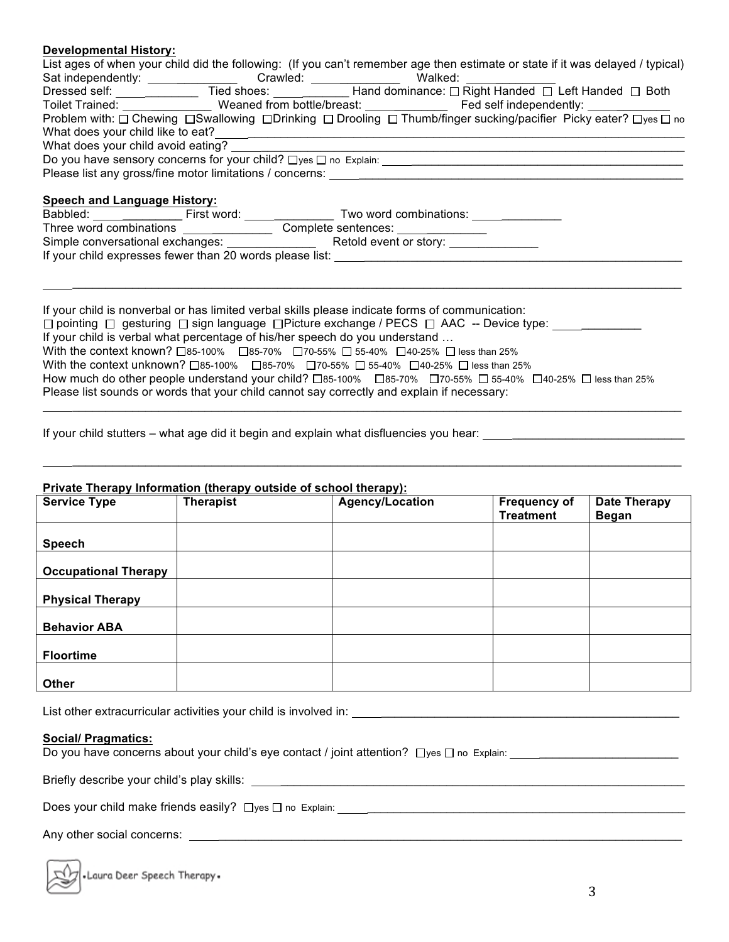## **Developmental History:**

|                                     |                                                                                                               | List ages of when your child did the following: (If you can't remember age then estimate or state if it was delayed / typical) |
|-------------------------------------|---------------------------------------------------------------------------------------------------------------|--------------------------------------------------------------------------------------------------------------------------------|
|                                     | Sat independently: _________________ Crawled: __________________________________ Walked: ________             |                                                                                                                                |
|                                     |                                                                                                               | Dressed self: _________________Tied shoes: ______________Hand dominance: □ Right Handed □ Left Handed □ Both                   |
|                                     |                                                                                                               | Toilet Trained: _________________ Weaned from bottle/breast: ____________________ Fed self independently: ___________          |
|                                     |                                                                                                               | Problem with: □ Chewing □ Swallowing □ Drinking □ Drooling □ Thumb/finger sucking/pacifier Picky eater? □ yes □ no             |
|                                     |                                                                                                               |                                                                                                                                |
|                                     |                                                                                                               |                                                                                                                                |
|                                     |                                                                                                               |                                                                                                                                |
|                                     | Please list any gross/fine motor limitations / concerns: The matter of the matter of the matter of the matter |                                                                                                                                |
| <b>Speech and Language History:</b> |                                                                                                               |                                                                                                                                |
|                                     | Babbled: First word: Two word combinations:                                                                   |                                                                                                                                |
|                                     |                                                                                                               |                                                                                                                                |
|                                     |                                                                                                               |                                                                                                                                |
|                                     | If your child expresses fewer than 20 words please list: _______________________                              |                                                                                                                                |
|                                     |                                                                                                               |                                                                                                                                |

 $\_$  . The contribution of the contribution of the contribution of the contribution of the contribution of the contribution of the contribution of the contribution of the contribution of the contribution of the contributio

 $\_$  . The contribution of the contribution of the contribution of the contribution of the contribution of the contribution of the contribution of the contribution of the contribution of the contribution of the contributio

 $\_$  . The contribution of the contribution of the contribution of the contribution of the contribution of the contribution of the contribution of the contribution of the contribution of the contribution of the contributio

If your child is nonverbal or has limited verbal skills please indicate forms of communication:  $\Box$  pointing  $\Box$  gesturing  $\Box$  sign language  $\Box$  Picture exchange / PECS  $\Box$  AAC -- Device type: If your child is verbal what percentage of his/her speech do you understand … With the context known?  $\Box$ 85-100%  $\Box$ 85-70%  $\Box$ 70-55%  $\Box$  55-40%  $\Box$ 40-25%  $\Box$  less than 25% With the context unknown?  $\Box$ 85-100%  $\Box$ 85-70%  $\Box$ 70-55%  $\Box$  55-40%  $\Box$ 40-25%  $\Box$  less than 25% How much do other people understand your child?  $\Box$ 85-100%  $\Box$ 85-70%  $\Box$ 70-55%  $\Box$  55-40%  $\Box$ 40-25%  $\Box$  less than 25% Please list sounds or words that your child cannot say correctly and explain if necessary:

If your child stutters – what age did it begin and explain what disfluencies you hear:

#### **Private Therapy Information (therapy outside of school therapy):**

| <b>Service Type</b>         | <b>Therapist</b> | Agency/Location | <b>Frequency of</b><br><b>Treatment</b> | <b>Date Therapy</b><br><b>Began</b> |
|-----------------------------|------------------|-----------------|-----------------------------------------|-------------------------------------|
| <b>Speech</b>               |                  |                 |                                         |                                     |
| <b>Occupational Therapy</b> |                  |                 |                                         |                                     |
| <b>Physical Therapy</b>     |                  |                 |                                         |                                     |
| <b>Behavior ABA</b>         |                  |                 |                                         |                                     |
| <b>Floortime</b>            |                  |                 |                                         |                                     |
| <b>Other</b>                |                  |                 |                                         |                                     |

List other extracurricular activities your child is involved in: \_\_\_\_\_\_\_\_\_\_\_\_\_\_\_\_\_\_\_\_\_\_\_\_\_\_\_\_\_\_\_\_\_\_\_\_\_\_\_\_\_\_\_\_\_

### **Social/ Pragmatics:**

Do you have concerns about your child's eye contact / joint attention? yes no Explain: \_\_\_\_\_\_\_\_\_\_\_\_\_\_\_\_\_\_\_\_\_

Briefly describe your child's play skills:  $\Box$ 

Does your child make friends easily? yes no Explain: \_\_\_\_\_\_\_\_\_\_\_\_\_\_\_\_\_\_\_\_\_\_\_\_\_\_\_\_\_\_\_\_\_\_\_\_\_\_\_\_\_\_\_\_\_\_\_\_

Any other social concerns: \_\_\_\_\_\_\_\_\_\_\_\_\_\_\_\_\_\_\_\_\_\_\_\_\_\_\_\_\_\_\_\_\_\_\_\_\_\_\_\_\_\_\_\_\_\_\_\_\_\_\_\_\_\_\_\_\_\_\_\_\_\_\_\_\_\_\_\_\_\_

• Laura Deer Speech Therapy •